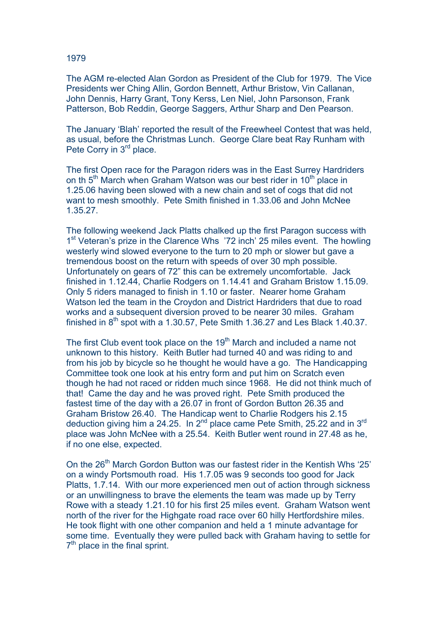The AGM re-elected Alan Gordon as President of the Club for 1979. The Vice Presidents wer Ching Allin, Gordon Bennett, Arthur Bristow, Vin Callanan, John Dennis, Harry Grant, Tony Kerss, Len Niel, John Parsonson, Frank Patterson, Bob Reddin, George Saggers, Arthur Sharp and Den Pearson.

The January 'Blah' reported the result of the Freewheel Contest that was held, as usual, before the Christmas Lunch. George Clare beat Ray Runham with Pete Corry in 3<sup>rd</sup> place.

The first Open race for the Paragon riders was in the East Surrey Hardriders on th  $5<sup>th</sup>$  March when Graham Watson was our best rider in 10<sup>th</sup> place in 1.25.06 having been slowed with a new chain and set of cogs that did not want to mesh smoothly. Pete Smith finished in 1.33.06 and John McNee 1.35.27.

The following weekend Jack Platts chalked up the first Paragon success with 1<sup>st</sup> Veteran's prize in the Clarence Whs '72 inch' 25 miles event. The howling westerly wind slowed everyone to the turn to 20 mph or slower but gave a tremendous boost on the return with speeds of over 30 mph possible. Unfortunately on gears of 72" this can be extremely uncomfortable. Jack finished in 1.12.44, Charlie Rodgers on 1.14.41 and Graham Bristow 1.15.09. Only 5 riders managed to finish in 1.10 or faster. Nearer home Graham Watson led the team in the Croydon and District Hardriders that due to road works and a subsequent diversion proved to be nearer 30 miles. Graham finished in  $8<sup>th</sup>$  spot with a 1.30.57. Pete Smith 1.36.27 and Les Black 1.40.37.

The first Club event took place on the  $19<sup>th</sup>$  March and included a name not unknown to this history. Keith Butler had turned 40 and was riding to and from his job by bicycle so he thought he would have a go. The Handicapping Committee took one look at his entry form and put him on Scratch even though he had not raced or ridden much since 1968. He did not think much of that! Came the day and he was proved right. Pete Smith produced the fastest time of the day with a 26.07 in front of Gordon Button 26.35 and Graham Bristow 26.40. The Handicap went to Charlie Rodgers his 2.15 deduction giving him a 24.25. In  $2^{nd}$  place came Pete Smith, 25.22 and in  $3^{rd}$ place was John McNee with a 25.54. Keith Butler went round in 27.48 as he, if no one else, expected.

On the 26<sup>th</sup> March Gordon Button was our fastest rider in the Kentish Whs '25' on a windy Portsmouth road. His 1.7.05 was 9 seconds too good for Jack Platts, 1.7.14. With our more experienced men out of action through sickness or an unwillingness to brave the elements the team was made up by Terry Rowe with a steady 1.21.10 for his first 25 miles event. Graham Watson went north of the river for the Highgate road race over 60 hilly Hertfordshire miles. He took flight with one other companion and held a 1 minute advantage for some time. Eventually they were pulled back with Graham having to settle for  $7<sup>th</sup>$  place in the final sprint.

## 1979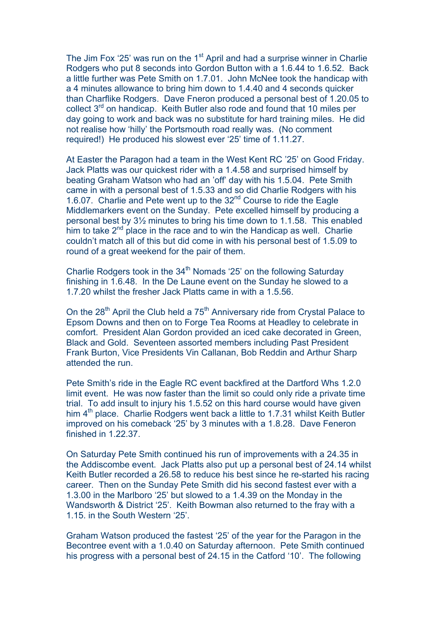The Jim Fox '25' was run on the  $1<sup>st</sup>$  April and had a surprise winner in Charlie Rodgers who put 8 seconds into Gordon Button with a 1.6.44 to 1.6.52. Back a little further was Pete Smith on 1.7.01. John McNee took the handicap with a 4 minutes allowance to bring him down to 1.4.40 and 4 seconds quicker than Charflike Rodgers. Dave Fneron produced a personal best of 1.20.05 to collect 3<sup>rd</sup> on handicap. Keith Butler also rode and found that 10 miles per day going to work and back was no substitute for hard training miles. He did not realise how 'hilly' the Portsmouth road really was. (No comment required!) He produced his slowest ever '25' time of 1.11.27.

At Easter the Paragon had a team in the West Kent RC '25' on Good Friday. Jack Platts was our quickest rider with a 1.4.58 and surprised himself by beating Graham Watson who had an 'off' day with his 1.5.04. Pete Smith came in with a personal best of 1.5.33 and so did Charlie Rodgers with his 1.6.07. Charlie and Pete went up to the 32nd Course to ride the Eagle Middlemarkers event on the Sunday. Pete excelled himself by producing a personal best by 3½ minutes to bring his time down to 1.1.58. This enabled him to take  $2<sup>nd</sup>$  place in the race and to win the Handicap as well. Charlie couldn't match all of this but did come in with his personal best of 1.5.09 to round of a great weekend for the pair of them.

Charlie Rodgers took in the 34<sup>th</sup> Nomads '25' on the following Saturday finishing in 1.6.48. In the De Laune event on the Sunday he slowed to a 1.7.20 whilst the fresher Jack Platts came in with a 1.5.56.

On the  $28<sup>th</sup>$  April the Club held a  $75<sup>th</sup>$  Anniversary ride from Crystal Palace to Epsom Downs and then on to Forge Tea Rooms at Headley to celebrate in comfort. President Alan Gordon provided an iced cake decorated in Green, Black and Gold. Seventeen assorted members including Past President Frank Burton, Vice Presidents Vin Callanan, Bob Reddin and Arthur Sharp attended the run.

Pete Smith's ride in the Eagle RC event backfired at the Dartford Whs 1.2.0 limit event. He was now faster than the limit so could only ride a private time trial. To add insult to injury his 1.5.52 on this hard course would have given him 4<sup>th</sup> place. Charlie Rodgers went back a little to 1.7.31 whilst Keith Butler improved on his comeback '25' by 3 minutes with a 1.8.28. Dave Feneron finished in 1.22.37.

On Saturday Pete Smith continued his run of improvements with a 24.35 in the Addiscombe event. Jack Platts also put up a personal best of 24.14 whilst Keith Butler recorded a 26.58 to reduce his best since he re-started his racing career. Then on the Sunday Pete Smith did his second fastest ever with a 1.3.00 in the Marlboro '25' but slowed to a 1.4.39 on the Monday in the Wandsworth & District '25'. Keith Bowman also returned to the fray with a 1.15. in the South Western '25'.

Graham Watson produced the fastest '25' of the year for the Paragon in the Becontree event with a 1.0.40 on Saturday afternoon. Pete Smith continued his progress with a personal best of 24.15 in the Catford '10'. The following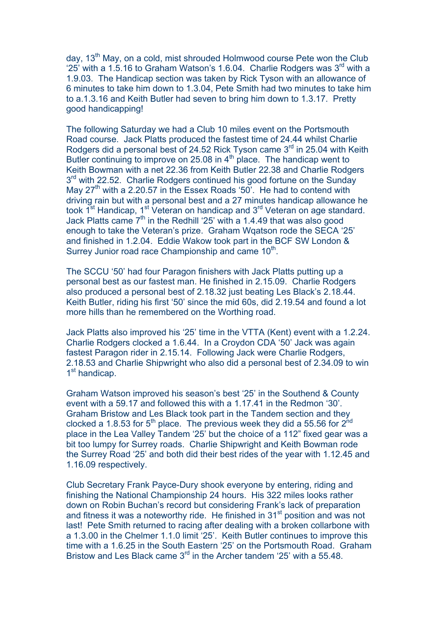day, 13<sup>th</sup> May, on a cold, mist shrouded Holmwood course Pete won the Club '25' with a 1.5.16 to Graham Watson's 1.6.04. Charlie Rodgers was  $3<sup>rd</sup>$  with a 1.9.03. The Handicap section was taken by Rick Tyson with an allowance of 6 minutes to take him down to 1.3.04, Pete Smith had two minutes to take him to a.1.3.16 and Keith Butler had seven to bring him down to 1.3.17. Pretty good handicapping!

The following Saturday we had a Club 10 miles event on the Portsmouth Road course. Jack Platts produced the fastest time of 24.44 whilst Charlie Rodgers did a personal best of 24.52 Rick Tyson came 3<sup>rd</sup> in 25.04 with Keith Butler continuing to improve on 25.08 in  $4<sup>th</sup>$  place. The handicap went to Keith Bowman with a net 22.36 from Keith Butler 22.38 and Charlie Rodgers 3<sup>rd</sup> with 22.52. Charlie Rodgers continued his good fortune on the Sunday May  $27<sup>th</sup>$  with a 2.20.57 in the Essex Roads '50'. He had to contend with driving rain but with a personal best and a 27 minutes handicap allowance he took 1<sup>st</sup> Handicap, 1<sup>st</sup> Veteran on handicap and 3<sup>rd</sup> Veteran on age standard. Jack Platts came  $7<sup>th</sup>$  in the Redhill '25' with a 1.4.49 that was also good enough to take the Veteran's prize. Graham Wqatson rode the SECA '25' and finished in 1.2.04. Eddie Wakow took part in the BCF SW London & Surrey Junior road race Championship and came  $10<sup>th</sup>$ .

The SCCU '50' had four Paragon finishers with Jack Platts putting up a personal best as our fastest man. He finished in 2.15.09. Charlie Rodgers also produced a personal best of 2.18.32 just beating Les Black's 2.18.44. Keith Butler, riding his first '50' since the mid 60s, did 2.19.54 and found a lot more hills than he remembered on the Worthing road.

Jack Platts also improved his '25' time in the VTTA (Kent) event with a 1.2.24. Charlie Rodgers clocked a 1.6.44. In a Croydon CDA '50' Jack was again fastest Paragon rider in 2.15.14. Following Jack were Charlie Rodgers, 2.18.53 and Charlie Shipwright who also did a personal best of 2.34.09 to win 1<sup>st</sup> handicap.

Graham Watson improved his season's best '25' in the Southend & County event with a 59.17 and followed this with a 1.17.41 in the Redmon '30'. Graham Bristow and Les Black took part in the Tandem section and they clocked a 1.8.53 for  $5<sup>th</sup>$  place. The previous week they did a 55.56 for  $2<sup>nd</sup>$ place in the Lea Valley Tandem '25' but the choice of a 112" fixed gear was a bit too lumpy for Surrey roads. Charlie Shipwright and Keith Bowman rode the Surrey Road '25' and both did their best rides of the year with 1.12.45 and 1.16.09 respectively.

Club Secretary Frank Payce-Dury shook everyone by entering, riding and finishing the National Championship 24 hours. His 322 miles looks rather down on Robin Buchan's record but considering Frank's lack of preparation and fitness it was a noteworthy ride. He finished in 31<sup>st</sup> position and was not last! Pete Smith returned to racing after dealing with a broken collarbone with a 1.3.00 in the Chelmer 1.1.0 limit '25'. Keith Butler continues to improve this time with a 1.6.25 in the South Eastern '25' on the Portsmouth Road. Graham Bristow and Les Black came 3<sup>rd</sup> in the Archer tandem '25' with a 55.48.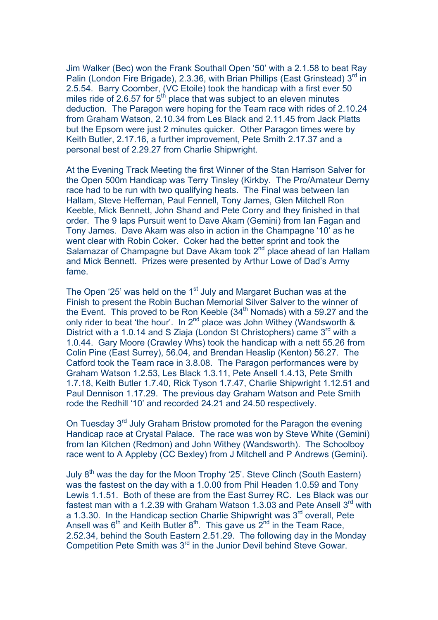Jim Walker (Bec) won the Frank Southall Open '50' with a 2.1.58 to beat Ray Palin (London Fire Brigade), 2.3.36, with Brian Phillips (East Grinstead) 3rd in 2.5.54. Barry Coomber, (VC Etoile) took the handicap with a first ever 50 miles ride of 2.6.57 for  $5<sup>th</sup>$  place that was subject to an eleven minutes deduction. The Paragon were hoping for the Team race with rides of 2.10.24 from Graham Watson, 2.10.34 from Les Black and 2.11.45 from Jack Platts but the Epsom were just 2 minutes quicker. Other Paragon times were by Keith Butler, 2.17.16, a further improvement, Pete Smith 2.17.37 and a personal best of 2.29.27 from Charlie Shipwright.

At the Evening Track Meeting the first Winner of the Stan Harrison Salver for the Open 500m Handicap was Terry Tinsley (Kirkby. The Pro/Amateur Derny race had to be run with two qualifying heats. The Final was between Ian Hallam, Steve Heffernan, Paul Fennell, Tony James, Glen Mitchell Ron Keeble, Mick Bennett, John Shand and Pete Corry and they finished in that order. The 9 laps Pursuit went to Dave Akam (Gemini) from Ian Fagan and Tony James. Dave Akam was also in action in the Champagne '10' as he went clear with Robin Coker. Coker had the better sprint and took the Salamazar of Champagne but Dave Akam took 2<sup>nd</sup> place ahead of Ian Hallam and Mick Bennett. Prizes were presented by Arthur Lowe of Dad's Army fame.

The Open '25' was held on the  $1<sup>st</sup>$  July and Margaret Buchan was at the Finish to present the Robin Buchan Memorial Silver Salver to the winner of the Event. This proved to be Ron Keeble  $(34<sup>th</sup>$  Nomads) with a 59.27 and the only rider to beat 'the hour'. In 2<sup>nd</sup> place was John Withey (Wandsworth & District with a 1.0.14 and S Ziaja (London St Christophers) came  $3<sup>rd</sup>$  with a 1.0.44. Gary Moore (Crawley Whs) took the handicap with a nett 55.26 from Colin Pine (East Surrey), 56.04, and Brendan Heaslip (Kenton) 56.27. The Catford took the Team race in 3.8.08. The Paragon performances were by Graham Watson 1.2.53, Les Black 1.3.11, Pete Ansell 1.4.13, Pete Smith 1.7.18, Keith Butler 1.7.40, Rick Tyson 1.7.47, Charlie Shipwright 1.12.51 and Paul Dennison 1.17.29. The previous day Graham Watson and Pete Smith rode the Redhill '10' and recorded 24.21 and 24.50 respectively.

On Tuesday 3<sup>rd</sup> July Graham Bristow promoted for the Paragon the evening Handicap race at Crystal Palace. The race was won by Steve White (Gemini) from Ian Kitchen (Redmon) and John Withey (Wandsworth). The Schoolboy race went to A Appleby (CC Bexley) from J Mitchell and P Andrews (Gemini).

July 8<sup>th</sup> was the day for the Moon Trophy '25'. Steve Clinch (South Eastern) was the fastest on the day with a 1.0.00 from Phil Headen 1.0.59 and Tony Lewis 1.1.51. Both of these are from the East Surrey RC. Les Black was our fastest man with a 1.2.39 with Graham Watson 1.3.03 and Pete Ansell  $3<sup>rd</sup>$  with a 1.3.30. In the Handicap section Charlie Shipwright was  $3<sup>rd</sup>$  overall, Pete Ansell was  $6<sup>th</sup>$  and Keith Butler  $8<sup>th</sup>$ . This gave us  $2<sup>nd</sup>$  in the Team Race, 2.52.34, behind the South Eastern 2.51.29. The following day in the Monday Competition Pete Smith was 3<sup>rd</sup> in the Junior Devil behind Steve Gowar.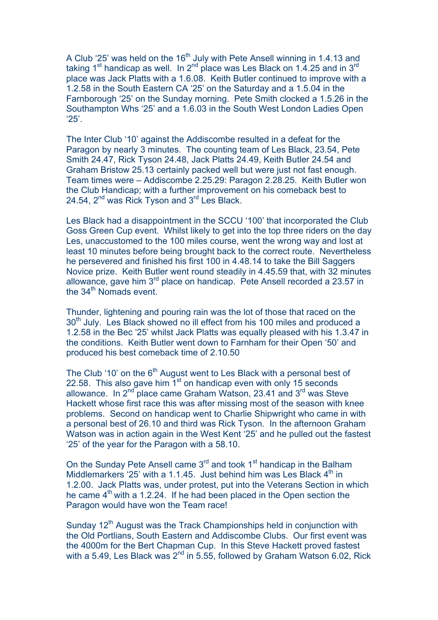A Club '25' was held on the 16<sup>th</sup> July with Pete Ansell winning in 1.4.13 and taking 1<sup>st</sup> handicap as well. In 2<sup>nd</sup> place was Les Black on 1.4.25 and in 3<sup>rd</sup> place was Jack Platts with a 1.6.08. Keith Butler continued to improve with a 1.2.58 in the South Eastern CA '25' on the Saturday and a 1.5.04 in the Farnborough '25' on the Sunday morning. Pete Smith clocked a 1.5.26 in the Southampton Whs '25' and a 1.6.03 in the South West London Ladies Open '25'.

The Inter Club '10' against the Addiscombe resulted in a defeat for the Paragon by nearly 3 minutes. The counting team of Les Black, 23.54, Pete Smith 24.47, Rick Tyson 24.48, Jack Platts 24.49, Keith Butler 24.54 and Graham Bristow 25.13 certainly packed well but were just not fast enough. Team times were – Addiscombe 2.25.29: Paragon 2.28.25. Keith Butler won the Club Handicap; with a further improvement on his comeback best to 24.54, 2<sup>nd</sup> was Rick Tyson and 3<sup>rd</sup> Les Black.

Les Black had a disappointment in the SCCU '100' that incorporated the Club Goss Green Cup event. Whilst likely to get into the top three riders on the day Les, unaccustomed to the 100 miles course, went the wrong way and lost at least 10 minutes before being brought back to the correct route. Nevertheless he persevered and finished his first 100 in 4.48.14 to take the Bill Saggers Novice prize. Keith Butler went round steadily in 4.45.59 that, with 32 minutes allowance, gave him  $3<sup>rd</sup>$  place on handicap. Pete Ansell recorded a 23.57 in the  $34<sup>th</sup>$  Nomads event.

Thunder, lightening and pouring rain was the lot of those that raced on the 30<sup>th</sup> July. Les Black showed no ill effect from his 100 miles and produced a 1.2.58 in the Bec '25' whilst Jack Platts was equally pleased with his 1.3.47 in the conditions. Keith Butler went down to Farnham for their Open '50' and produced his best comeback time of 2.10.50

The Club '10' on the  $6<sup>th</sup>$  August went to Les Black with a personal best of 22.58. This also gave him  $1<sup>st</sup>$  on handicap even with only 15 seconds allowance. In  $2^{nd}$  place came Graham Watson, 23.41 and  $3^{rd}$  was Steve Hackett whose first race this was after missing most of the season with knee problems. Second on handicap went to Charlie Shipwright who came in with a personal best of 26.10 and third was Rick Tyson. In the afternoon Graham Watson was in action again in the West Kent '25' and he pulled out the fastest '25' of the year for the Paragon with a 58.10.

On the Sunday Pete Ansell came  $3<sup>rd</sup>$  and took 1<sup>st</sup> handicap in the Balham Middlemarkers '25' with a 1.1.45. Just behind him was Les Black  $4<sup>th</sup>$  in 1.2.00. Jack Platts was, under protest, put into the Veterans Section in which he came  $4<sup>th</sup>$  with a 1.2.24. If he had been placed in the Open section the Paragon would have won the Team race!

Sunday  $12<sup>th</sup>$  August was the Track Championships held in conjunction with the Old Portlians, South Eastern and Addiscombe Clubs. Our first event was the 4000m for the Bert Chapman Cup. In this Steve Hackett proved fastest with a 5.49, Les Black was  $2^{nd}$  in 5.55, followed by Graham Watson 6.02, Rick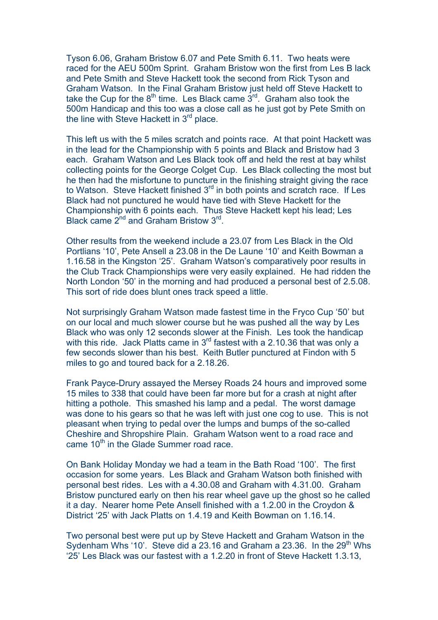Tyson 6.06, Graham Bristow 6.07 and Pete Smith 6.11. Two heats were raced for the AEU 500m Sprint. Graham Bristow won the first from Les B lack and Pete Smith and Steve Hackett took the second from Rick Tyson and Graham Watson. In the Final Graham Bristow just held off Steve Hackett to take the Cup for the  $8<sup>th</sup>$  time. Les Black came  $3<sup>rd</sup>$ . Graham also took the 500m Handicap and this too was a close call as he just got by Pete Smith on the line with Steve Hackett in  $3<sup>rd</sup>$  place.

This left us with the 5 miles scratch and points race. At that point Hackett was in the lead for the Championship with 5 points and Black and Bristow had 3 each. Graham Watson and Les Black took off and held the rest at bay whilst collecting points for the George Colget Cup. Les Black collecting the most but he then had the misfortune to puncture in the finishing straight giving the race to Watson. Steve Hackett finished 3<sup>rd</sup> in both points and scratch race. If Les Black had not punctured he would have tied with Steve Hackett for the Championship with 6 points each. Thus Steve Hackett kept his lead; Les Black came  $2^{nd}$  and Graham Bristow  $3^{rd}$ .

Other results from the weekend include a 23.07 from Les Black in the Old Portlians '10', Pete Ansell a 23.08 in the De Laune '10' and Keith Bowman a 1.16.58 in the Kingston '25'. Graham Watson's comparatively poor results in the Club Track Championships were very easily explained. He had ridden the North London '50' in the morning and had produced a personal best of 2.5.08. This sort of ride does blunt ones track speed a little.

Not surprisingly Graham Watson made fastest time in the Fryco Cup '50' but on our local and much slower course but he was pushed all the way by Les Black who was only 12 seconds slower at the Finish. Les took the handicap with this ride. Jack Platts came in  $3<sup>rd</sup>$  fastest with a 2.10.36 that was only a few seconds slower than his best. Keith Butler punctured at Findon with 5 miles to go and toured back for a 2.18.26.

Frank Payce-Drury assayed the Mersey Roads 24 hours and improved some 15 miles to 338 that could have been far more but for a crash at night after hitting a pothole. This smashed his lamp and a pedal. The worst damage was done to his gears so that he was left with just one cog to use. This is not pleasant when trying to pedal over the lumps and bumps of the so-called Cheshire and Shropshire Plain. Graham Watson went to a road race and came  $10<sup>th</sup>$  in the Glade Summer road race.

On Bank Holiday Monday we had a team in the Bath Road '100'. The first occasion for some years. Les Black and Graham Watson both finished with personal best rides. Les with a 4.30.08 and Graham with 4.31.00. Graham Bristow punctured early on then his rear wheel gave up the ghost so he called it a day. Nearer home Pete Ansell finished with a 1.2.00 in the Croydon & District '25' with Jack Platts on 1.4.19 and Keith Bowman on 1.16.14.

Two personal best were put up by Steve Hackett and Graham Watson in the Sydenham Whs '10'. Steve did a 23.16 and Graham a 23.36. In the  $29<sup>th</sup>$  Whs '25' Les Black was our fastest with a 1.2.20 in front of Steve Hackett 1.3.13,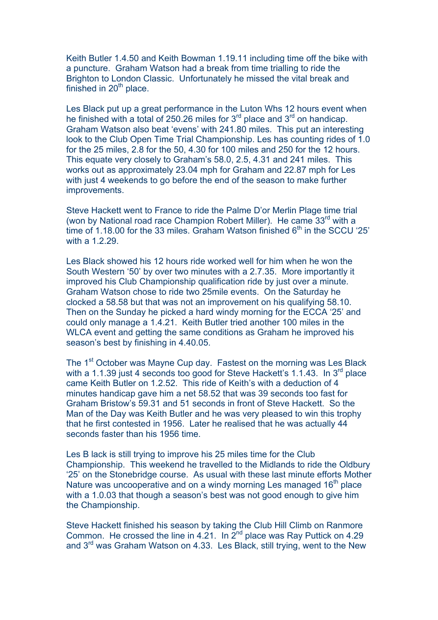Keith Butler 1.4.50 and Keith Bowman 1.19.11 including time off the bike with a puncture. Graham Watson had a break from time trialling to ride the Brighton to London Classic. Unfortunately he missed the vital break and finished in  $20<sup>th</sup>$  place.

Les Black put up a great performance in the Luton Whs 12 hours event when he finished with a total of 250.26 miles for  $3<sup>rd</sup>$  place and  $3<sup>rd</sup>$  on handicap. Graham Watson also beat 'evens' with 241.80 miles. This put an interesting look to the Club Open Time Trial Championship. Les has counting rides of 1.0 for the 25 miles, 2.8 for the 50, 4.30 for 100 miles and 250 for the 12 hours. This equate very closely to Graham's 58.0, 2.5, 4.31 and 241 miles. This works out as approximately 23.04 mph for Graham and 22.87 mph for Les with just 4 weekends to go before the end of the season to make further improvements.

Steve Hackett went to France to ride the Palme D'or Merlin Plage time trial (won by National road race Champion Robert Miller). He came  $33<sup>rd</sup>$  with a time of 1.18.00 for the 33 miles. Graham Watson finished  $6<sup>th</sup>$  in the SCCU '25' with a 1.2.29.

Les Black showed his 12 hours ride worked well for him when he won the South Western '50' by over two minutes with a 2.7.35. More importantly it improved his Club Championship qualification ride by just over a minute. Graham Watson chose to ride two 25mile events. On the Saturday he clocked a 58.58 but that was not an improvement on his qualifying 58.10. Then on the Sunday he picked a hard windy morning for the ECCA '25' and could only manage a 1.4.21. Keith Butler tried another 100 miles in the WLCA event and getting the same conditions as Graham he improved his season's best by finishing in 4.40.05.

The 1<sup>st</sup> October was Mayne Cup day. Fastest on the morning was Les Black with a 1.1.39 just 4 seconds too good for Steve Hackett's 1.1.43. In  $3<sup>rd</sup>$  place came Keith Butler on 1.2.52. This ride of Keith's with a deduction of 4 minutes handicap gave him a net 58.52 that was 39 seconds too fast for Graham Bristow's 59.31 and 51 seconds in front of Steve Hackett. So the Man of the Day was Keith Butler and he was very pleased to win this trophy that he first contested in 1956. Later he realised that he was actually 44 seconds faster than his 1956 time.

Les B lack is still trying to improve his 25 miles time for the Club Championship. This weekend he travelled to the Midlands to ride the Oldbury '25' on the Stonebridge course. As usual with these last minute efforts Mother Nature was uncooperative and on a windy morning Les managed 16<sup>th</sup> place with a 1.0.03 that though a season's best was not good enough to give him the Championship.

Steve Hackett finished his season by taking the Club Hill Climb on Ranmore Common. He crossed the line in  $4.21$ . In  $2<sup>nd</sup>$  place was Ray Puttick on  $4.29$ and 3rd was Graham Watson on 4.33. Les Black, still trying, went to the New